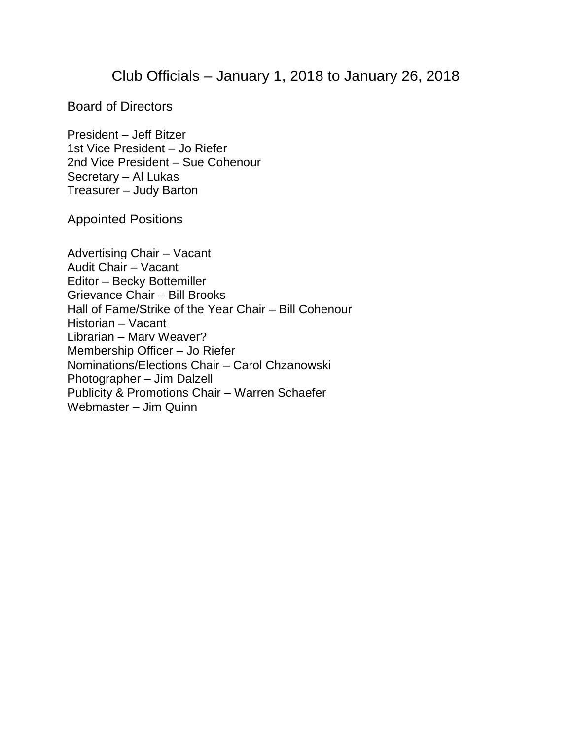## Club Officials – January 1, 2018 to January 26, 2018

Board of Directors

President – Jeff Bitzer 1st Vice President – Jo Riefer 2nd Vice President – Sue Cohenour Secretary – Al Lukas Treasurer – Judy Barton

Appointed Positions

Advertising Chair – Vacant Audit Chair – Vacant Editor – Becky Bottemiller Grievance Chair – Bill Brooks Hall of Fame/Strike of the Year Chair – Bill Cohenour Historian – Vacant Librarian – Marv Weaver? Membership Officer – Jo Riefer Nominations/Elections Chair – Carol Chzanowski Photographer – Jim Dalzell Publicity & Promotions Chair – Warren Schaefer Webmaster – Jim Quinn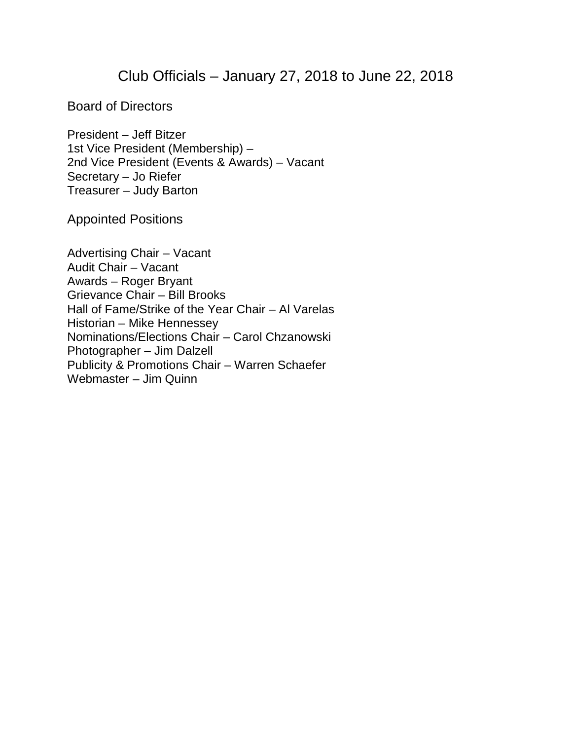## Club Officials – January 27, 2018 to June 22, 2018

Board of Directors

President – Jeff Bitzer 1st Vice President (Membership) – 2nd Vice President (Events & Awards) – Vacant Secretary – Jo Riefer Treasurer – Judy Barton

Appointed Positions

Advertising Chair – Vacant Audit Chair – Vacant Awards – Roger Bryant Grievance Chair – Bill Brooks Hall of Fame/Strike of the Year Chair – Al Varelas Historian – Mike Hennessey Nominations/Elections Chair – Carol Chzanowski Photographer – Jim Dalzell Publicity & Promotions Chair – Warren Schaefer Webmaster – Jim Quinn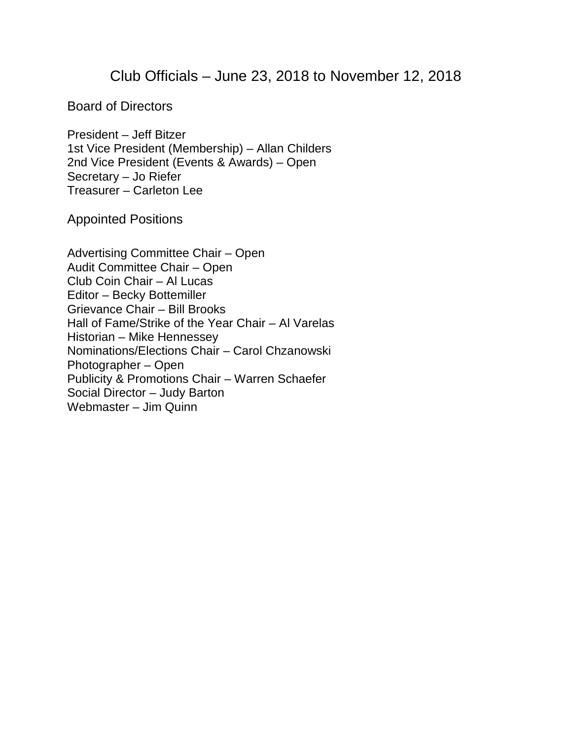## Club Officials – June 23, 2018 to November 12, 2018

Board of Directors

President – Jeff Bitzer 1st Vice President (Membership) – Allan Childers 2nd Vice President (Events & Awards) – Open Secretary – Jo Riefer Treasurer – Carleton Lee

Appointed Positions

Advertising Committee Chair – Open Audit Committee Chair – Open Club Coin Chair – Al Lucas Editor – Becky Bottemiller Grievance Chair – Bill Brooks Hall of Fame/Strike of the Year Chair – Al Varelas Historian – Mike Hennessey Nominations/Elections Chair – Carol Chzanowski Photographer – Open Publicity & Promotions Chair – Warren Schaefer Social Director – Judy Barton Webmaster – Jim Quinn